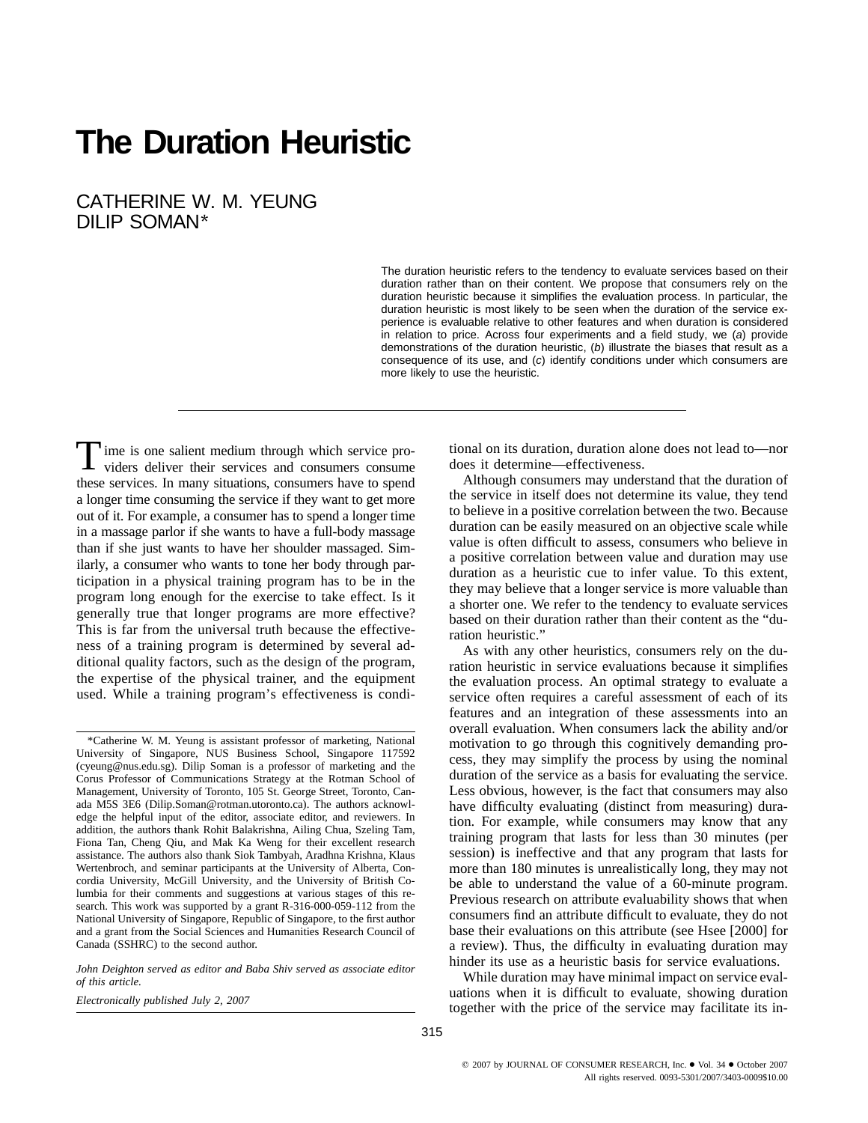# **The Duration Heuristic**

CATHERINE W. M. YEUNG DILIP SOMAN\*

> The duration heuristic refers to the tendency to evaluate services based on their duration rather than on their content. We propose that consumers rely on the duration heuristic because it simplifies the evaluation process. In particular, the duration heuristic is most likely to be seen when the duration of the service experience is evaluable relative to other features and when duration is considered in relation to price. Across four experiments and a field study, we (a) provide demonstrations of the duration heuristic, (b) illustrate the biases that result as a consequence of its use, and (c) identify conditions under which consumers are more likely to use the heuristic.

Time is one salient medium through which service pro-<br>viders deliver their services and consumers consume these services. In many situations, consumers have to spend a longer time consuming the service if they want to get more out of it. For example, a consumer has to spend a longer time in a massage parlor if she wants to have a full-body massage than if she just wants to have her shoulder massaged. Similarly, a consumer who wants to tone her body through participation in a physical training program has to be in the program long enough for the exercise to take effect. Is it generally true that longer programs are more effective? This is far from the universal truth because the effectiveness of a training program is determined by several additional quality factors, such as the design of the program, the expertise of the physical trainer, and the equipment used. While a training program's effectiveness is condi-

*John Deighton served as editor and Baba Shiv served as associate editor of this article.*

*Electronically published July 2, 2007*

tional on its duration, duration alone does not lead to—nor does it determine—effectiveness.

Although consumers may understand that the duration of the service in itself does not determine its value, they tend to believe in a positive correlation between the two. Because duration can be easily measured on an objective scale while value is often difficult to assess, consumers who believe in a positive correlation between value and duration may use duration as a heuristic cue to infer value. To this extent, they may believe that a longer service is more valuable than a shorter one. We refer to the tendency to evaluate services based on their duration rather than their content as the "duration heuristic."

As with any other heuristics, consumers rely on the duration heuristic in service evaluations because it simplifies the evaluation process. An optimal strategy to evaluate a service often requires a careful assessment of each of its features and an integration of these assessments into an overall evaluation. When consumers lack the ability and/or motivation to go through this cognitively demanding process, they may simplify the process by using the nominal duration of the service as a basis for evaluating the service. Less obvious, however, is the fact that consumers may also have difficulty evaluating (distinct from measuring) duration. For example, while consumers may know that any training program that lasts for less than 30 minutes (per session) is ineffective and that any program that lasts for more than 180 minutes is unrealistically long, they may not be able to understand the value of a 60-minute program. Previous research on attribute evaluability shows that when consumers find an attribute difficult to evaluate, they do not base their evaluations on this attribute (see Hsee [2000] for a review). Thus, the difficulty in evaluating duration may hinder its use as a heuristic basis for service evaluations.

While duration may have minimal impact on service evaluations when it is difficult to evaluate, showing duration together with the price of the service may facilitate its in-

<sup>\*</sup>Catherine W. M. Yeung is assistant professor of marketing, National University of Singapore, NUS Business School, Singapore 117592 (cyeung@nus.edu.sg). Dilip Soman is a professor of marketing and the Corus Professor of Communications Strategy at the Rotman School of Management, University of Toronto, 105 St. George Street, Toronto, Canada M5S 3E6 (Dilip.Soman@rotman.utoronto.ca). The authors acknowledge the helpful input of the editor, associate editor, and reviewers. In addition, the authors thank Rohit Balakrishna, Ailing Chua, Szeling Tam, Fiona Tan, Cheng Qiu, and Mak Ka Weng for their excellent research assistance. The authors also thank Siok Tambyah, Aradhna Krishna, Klaus Wertenbroch, and seminar participants at the University of Alberta, Concordia University, McGill University, and the University of British Columbia for their comments and suggestions at various stages of this research. This work was supported by a grant R-316-000-059-112 from the National University of Singapore, Republic of Singapore, to the first author and a grant from the Social Sciences and Humanities Research Council of Canada (SSHRC) to the second author.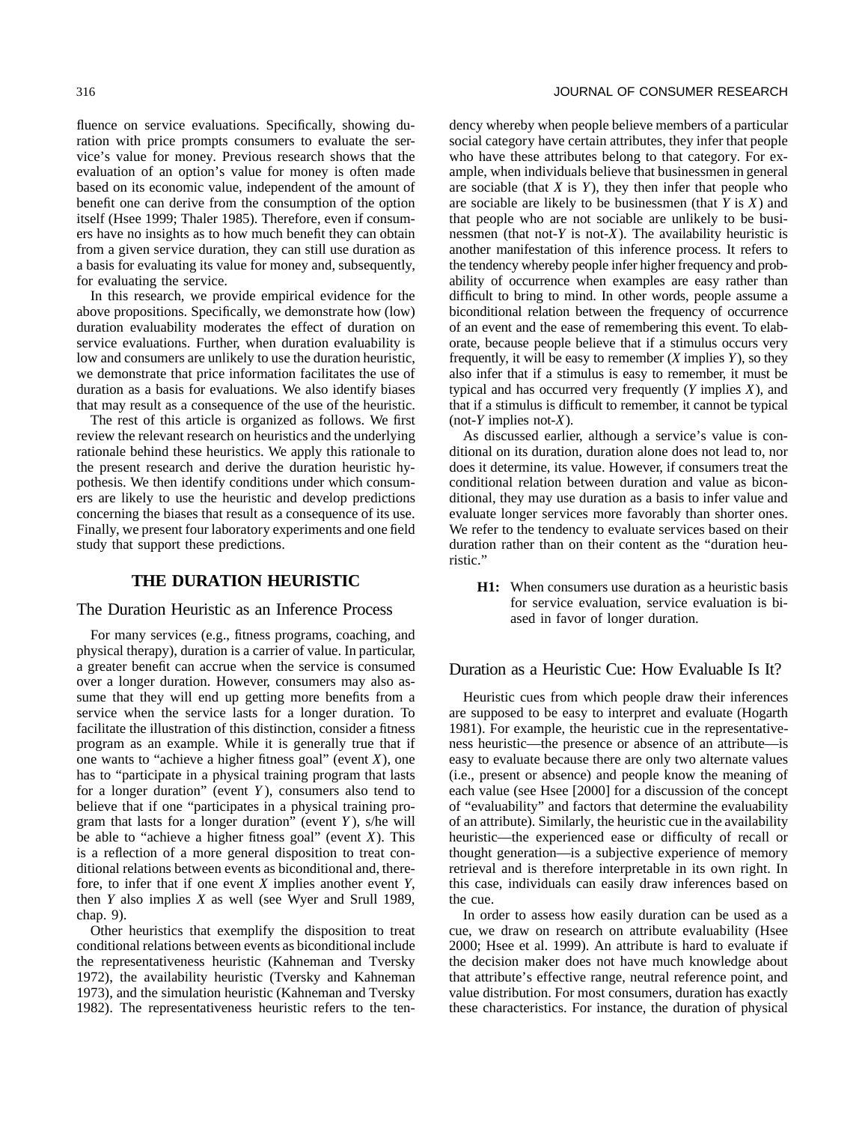fluence on service evaluations. Specifically, showing duration with price prompts consumers to evaluate the service's value for money. Previous research shows that the evaluation of an option's value for money is often made based on its economic value, independent of the amount of benefit one can derive from the consumption of the option itself (Hsee 1999; Thaler 1985). Therefore, even if consumers have no insights as to how much benefit they can obtain from a given service duration, they can still use duration as a basis for evaluating its value for money and, subsequently, for evaluating the service.

In this research, we provide empirical evidence for the above propositions. Specifically, we demonstrate how (low) duration evaluability moderates the effect of duration on service evaluations. Further, when duration evaluability is low and consumers are unlikely to use the duration heuristic, we demonstrate that price information facilitates the use of duration as a basis for evaluations. We also identify biases that may result as a consequence of the use of the heuristic.

The rest of this article is organized as follows. We first review the relevant research on heuristics and the underlying rationale behind these heuristics. We apply this rationale to the present research and derive the duration heuristic hypothesis. We then identify conditions under which consumers are likely to use the heuristic and develop predictions concerning the biases that result as a consequence of its use. Finally, we present four laboratory experiments and one field study that support these predictions.

# **THE DURATION HEURISTIC**

#### The Duration Heuristic as an Inference Process

For many services (e.g., fitness programs, coaching, and physical therapy), duration is a carrier of value. In particular, a greater benefit can accrue when the service is consumed over a longer duration. However, consumers may also assume that they will end up getting more benefits from a service when the service lasts for a longer duration. To facilitate the illustration of this distinction, consider a fitness program as an example. While it is generally true that if one wants to "achieve a higher fitness goal" (event *X*), one has to "participate in a physical training program that lasts for a longer duration" (event *Y* ), consumers also tend to believe that if one "participates in a physical training program that lasts for a longer duration" (event *Y* ), s/he will be able to "achieve a higher fitness goal" (event *X*). This is a reflection of a more general disposition to treat conditional relations between events as biconditional and, therefore, to infer that if one event *X* implies another event *Y*, then *Y* also implies *X* as well (see Wyer and Srull 1989, chap. 9).

Other heuristics that exemplify the disposition to treat conditional relations between events as biconditional include the representativeness heuristic (Kahneman and Tversky 1972), the availability heuristic (Tversky and Kahneman 1973), and the simulation heuristic (Kahneman and Tversky 1982). The representativeness heuristic refers to the tendency whereby when people believe members of a particular social category have certain attributes, they infer that people who have these attributes belong to that category. For example, when individuals believe that businessmen in general are sociable (that *X* is *Y*), they then infer that people who are sociable are likely to be businessmen (that *Y* is *X*) and that people who are not sociable are unlikely to be businessmen (that not-*Y* is not-*X*). The availability heuristic is another manifestation of this inference process. It refers to the tendency whereby people infer higher frequency and probability of occurrence when examples are easy rather than difficult to bring to mind. In other words, people assume a biconditional relation between the frequency of occurrence of an event and the ease of remembering this event. To elaborate, because people believe that if a stimulus occurs very frequently, it will be easy to remember (*X* implies *Y*), so they also infer that if a stimulus is easy to remember, it must be typical and has occurred very frequently (*Y* implies *X*), and that if a stimulus is difficult to remember, it cannot be typical (not-*Y* implies not-*X*).

As discussed earlier, although a service's value is conditional on its duration, duration alone does not lead to, nor does it determine, its value. However, if consumers treat the conditional relation between duration and value as biconditional, they may use duration as a basis to infer value and evaluate longer services more favorably than shorter ones. We refer to the tendency to evaluate services based on their duration rather than on their content as the "duration heuristic."

**H1:** When consumers use duration as a heuristic basis for service evaluation, service evaluation is biased in favor of longer duration.

# Duration as a Heuristic Cue: How Evaluable Is It?

Heuristic cues from which people draw their inferences are supposed to be easy to interpret and evaluate (Hogarth 1981). For example, the heuristic cue in the representativeness heuristic—the presence or absence of an attribute—is easy to evaluate because there are only two alternate values (i.e., present or absence) and people know the meaning of each value (see Hsee [2000] for a discussion of the concept of "evaluability" and factors that determine the evaluability of an attribute). Similarly, the heuristic cue in the availability heuristic—the experienced ease or difficulty of recall or thought generation—is a subjective experience of memory retrieval and is therefore interpretable in its own right. In this case, individuals can easily draw inferences based on the cue.

In order to assess how easily duration can be used as a cue, we draw on research on attribute evaluability (Hsee 2000; Hsee et al. 1999). An attribute is hard to evaluate if the decision maker does not have much knowledge about that attribute's effective range, neutral reference point, and value distribution. For most consumers, duration has exactly these characteristics. For instance, the duration of physical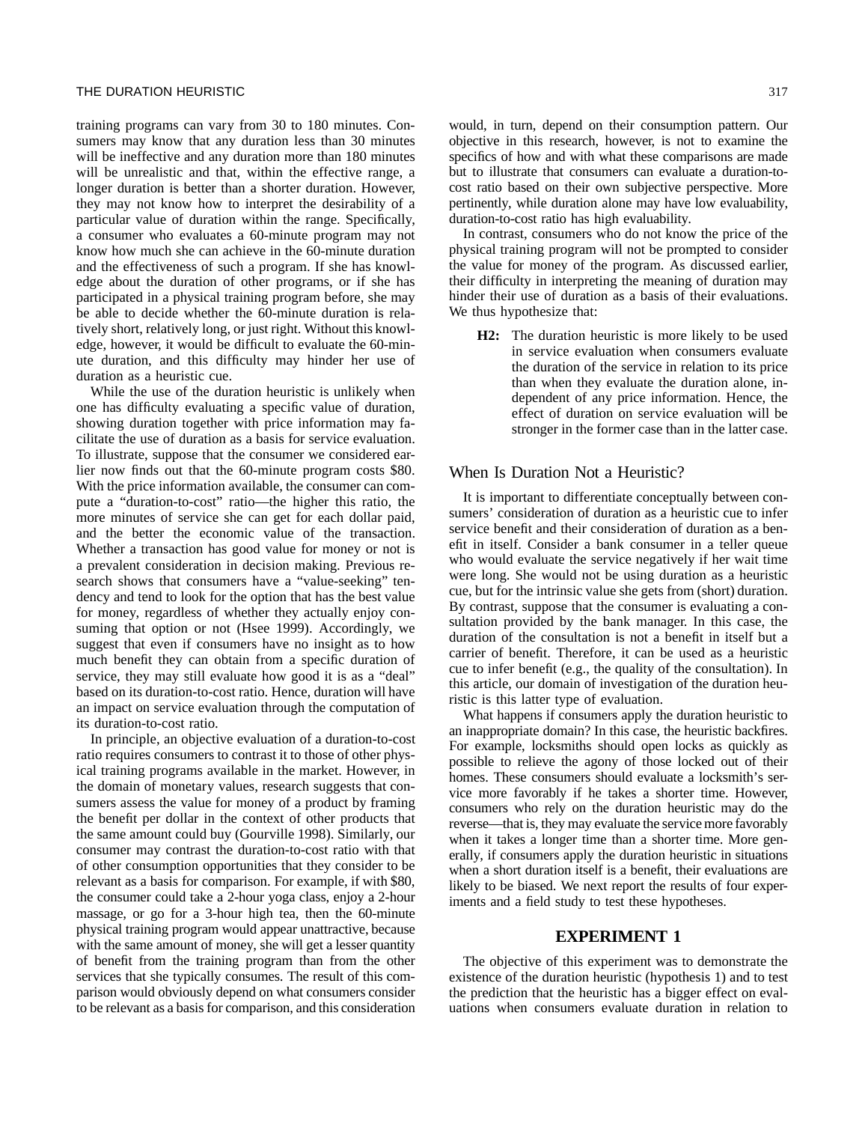training programs can vary from 30 to 180 minutes. Consumers may know that any duration less than 30 minutes will be ineffective and any duration more than 180 minutes will be unrealistic and that, within the effective range, a longer duration is better than a shorter duration. However, they may not know how to interpret the desirability of a particular value of duration within the range. Specifically, a consumer who evaluates a 60-minute program may not know how much she can achieve in the 60-minute duration and the effectiveness of such a program. If she has knowledge about the duration of other programs, or if she has participated in a physical training program before, she may be able to decide whether the 60-minute duration is relatively short, relatively long, or just right. Without this knowledge, however, it would be difficult to evaluate the 60-minute duration, and this difficulty may hinder her use of duration as a heuristic cue.

While the use of the duration heuristic is unlikely when one has difficulty evaluating a specific value of duration, showing duration together with price information may facilitate the use of duration as a basis for service evaluation. To illustrate, suppose that the consumer we considered earlier now finds out that the 60-minute program costs \$80. With the price information available, the consumer can compute a "duration-to-cost" ratio—the higher this ratio, the more minutes of service she can get for each dollar paid, and the better the economic value of the transaction. Whether a transaction has good value for money or not is a prevalent consideration in decision making. Previous research shows that consumers have a "value-seeking" tendency and tend to look for the option that has the best value for money, regardless of whether they actually enjoy consuming that option or not (Hsee 1999). Accordingly, we suggest that even if consumers have no insight as to how much benefit they can obtain from a specific duration of service, they may still evaluate how good it is as a "deal" based on its duration-to-cost ratio. Hence, duration will have an impact on service evaluation through the computation of its duration-to-cost ratio.

In principle, an objective evaluation of a duration-to-cost ratio requires consumers to contrast it to those of other physical training programs available in the market. However, in the domain of monetary values, research suggests that consumers assess the value for money of a product by framing the benefit per dollar in the context of other products that the same amount could buy (Gourville 1998). Similarly, our consumer may contrast the duration-to-cost ratio with that of other consumption opportunities that they consider to be relevant as a basis for comparison. For example, if with \$80, the consumer could take a 2-hour yoga class, enjoy a 2-hour massage, or go for a 3-hour high tea, then the 60-minute physical training program would appear unattractive, because with the same amount of money, she will get a lesser quantity of benefit from the training program than from the other services that she typically consumes. The result of this comparison would obviously depend on what consumers consider to be relevant as a basis for comparison, and this consideration

would, in turn, depend on their consumption pattern. Our objective in this research, however, is not to examine the specifics of how and with what these comparisons are made but to illustrate that consumers can evaluate a duration-tocost ratio based on their own subjective perspective. More pertinently, while duration alone may have low evaluability, duration-to-cost ratio has high evaluability.

In contrast, consumers who do not know the price of the physical training program will not be prompted to consider the value for money of the program. As discussed earlier, their difficulty in interpreting the meaning of duration may hinder their use of duration as a basis of their evaluations. We thus hypothesize that:

**H2:** The duration heuristic is more likely to be used in service evaluation when consumers evaluate the duration of the service in relation to its price than when they evaluate the duration alone, independent of any price information. Hence, the effect of duration on service evaluation will be stronger in the former case than in the latter case.

# When Is Duration Not a Heuristic?

It is important to differentiate conceptually between consumers' consideration of duration as a heuristic cue to infer service benefit and their consideration of duration as a benefit in itself. Consider a bank consumer in a teller queue who would evaluate the service negatively if her wait time were long. She would not be using duration as a heuristic cue, but for the intrinsic value she gets from (short) duration. By contrast, suppose that the consumer is evaluating a consultation provided by the bank manager. In this case, the duration of the consultation is not a benefit in itself but a carrier of benefit. Therefore, it can be used as a heuristic cue to infer benefit (e.g., the quality of the consultation). In this article, our domain of investigation of the duration heuristic is this latter type of evaluation.

What happens if consumers apply the duration heuristic to an inappropriate domain? In this case, the heuristic backfires. For example, locksmiths should open locks as quickly as possible to relieve the agony of those locked out of their homes. These consumers should evaluate a locksmith's service more favorably if he takes a shorter time. However, consumers who rely on the duration heuristic may do the reverse—that is, they may evaluate the service more favorably when it takes a longer time than a shorter time. More generally, if consumers apply the duration heuristic in situations when a short duration itself is a benefit, their evaluations are likely to be biased. We next report the results of four experiments and a field study to test these hypotheses.

# **EXPERIMENT 1**

The objective of this experiment was to demonstrate the existence of the duration heuristic (hypothesis 1) and to test the prediction that the heuristic has a bigger effect on evaluations when consumers evaluate duration in relation to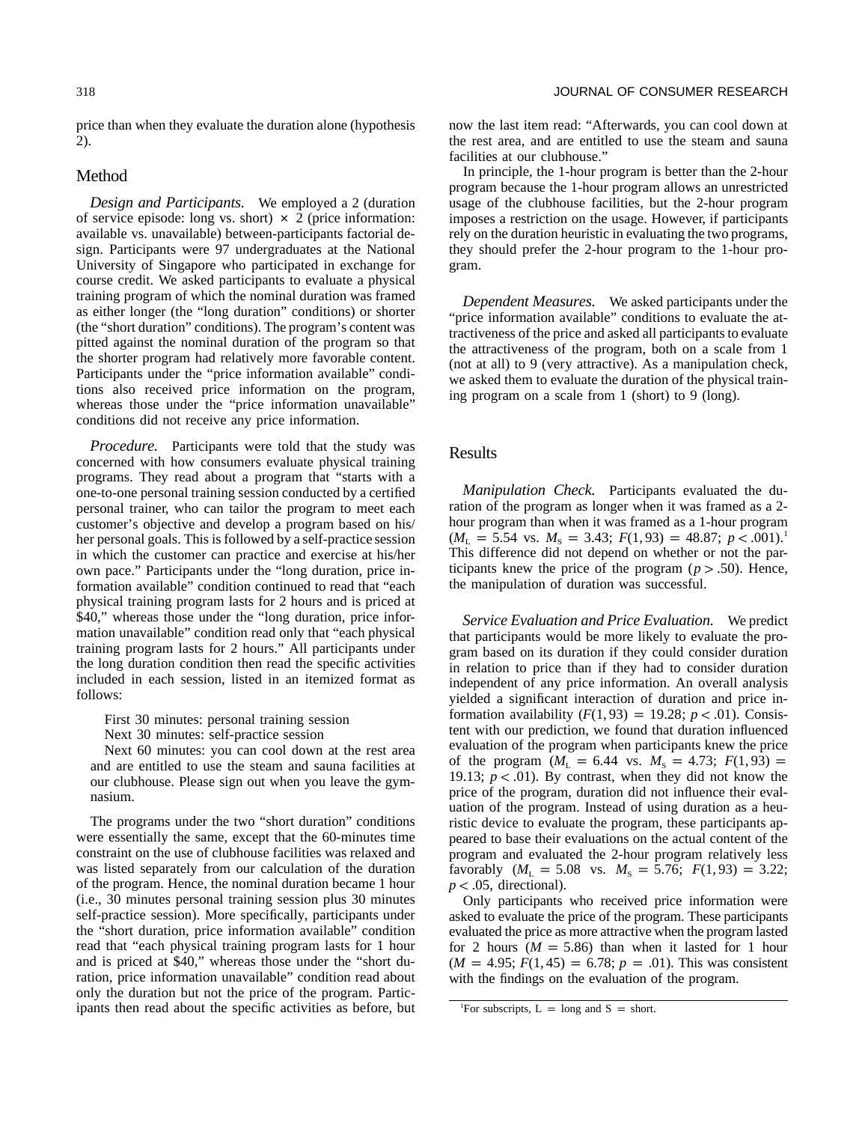price than when they evaluate the duration alone (hypothesis 2).

# Method

*Design and Participants.* We employed a 2 (duration of service episode: long vs. short)  $\times$  2 (price information: available vs. unavailable) between-participants factorial design. Participants were 97 undergraduates at the National University of Singapore who participated in exchange for course credit. We asked participants to evaluate a physical training program of which the nominal duration was framed as either longer (the "long duration" conditions) or shorter (the "short duration" conditions). The program's content was pitted against the nominal duration of the program so that the shorter program had relatively more favorable content. Participants under the "price information available" conditions also received price information on the program, whereas those under the "price information unavailable" conditions did not receive any price information.

*Procedure.* Participants were told that the study was concerned with how consumers evaluate physical training programs. They read about a program that "starts with a one-to-one personal training session conducted by a certified personal trainer, who can tailor the program to meet each customer's objective and develop a program based on his/ her personal goals. This is followed by a self-practice session in which the customer can practice and exercise at his/her own pace." Participants under the "long duration, price information available" condition continued to read that "each physical training program lasts for 2 hours and is priced at \$40," whereas those under the "long duration, price information unavailable" condition read only that "each physical training program lasts for 2 hours." All participants under the long duration condition then read the specific activities included in each session, listed in an itemized format as follows:

First 30 minutes: personal training session

Next 30 minutes: self-practice session

Next 60 minutes: you can cool down at the rest area and are entitled to use the steam and sauna facilities at our clubhouse. Please sign out when you leave the gymnasium.

The programs under the two "short duration" conditions were essentially the same, except that the 60-minutes time constraint on the use of clubhouse facilities was relaxed and was listed separately from our calculation of the duration of the program. Hence, the nominal duration became 1 hour (i.e., 30 minutes personal training session plus 30 minutes self-practice session). More specifically, participants under the "short duration, price information available" condition read that "each physical training program lasts for 1 hour and is priced at \$40," whereas those under the "short duration, price information unavailable" condition read about only the duration but not the price of the program. Participants then read about the specific activities as before, but now the last item read: "Afterwards, you can cool down at the rest area, and are entitled to use the steam and sauna facilities at our clubhouse."

In principle, the 1-hour program is better than the 2-hour program because the 1-hour program allows an unrestricted usage of the clubhouse facilities, but the 2-hour program imposes a restriction on the usage. However, if participants rely on the duration heuristic in evaluating the two programs, they should prefer the 2-hour program to the 1-hour program.

*Dependent Measures.* We asked participants under the "price information available" conditions to evaluate the attractiveness of the price and asked all participants to evaluate the attractiveness of the program, both on a scale from 1 (not at all) to 9 (very attractive). As a manipulation check, we asked them to evaluate the duration of the physical training program on a scale from 1 (short) to 9 (long).

# Results

*Manipulation Check.* Participants evaluated the duration of the program as longer when it was framed as a 2 hour program than when it was framed as a 1-hour program  $(M_L = 5.54 \text{ vs. } M_S = 3.43; F(1, 93) = 48.87; p < .001$ .<sup>1</sup> This difference did not depend on whether or not the participants knew the price of the program ( $p > .50$ ). Hence, the manipulation of duration was successful.

*Service Evaluation and Price Evaluation.* We predict that participants would be more likely to evaluate the program based on its duration if they could consider duration in relation to price than if they had to consider duration independent of any price information. An overall analysis yielded a significant interaction of duration and price information availability  $(F(1, 93) = 19.28; p < .01)$ . Consistent with our prediction, we found that duration influenced evaluation of the program when participants knew the price of the program ( $M_L = 6.44$  vs.  $M_s = 4.73$ ;  $F(1, 93) =$ 19.13;  $p < .01$ ). By contrast, when they did not know the price of the program, duration did not influence their evaluation of the program. Instead of using duration as a heuristic device to evaluate the program, these participants appeared to base their evaluations on the actual content of the program and evaluated the 2-hour program relatively less favorably  $(M_L = 5.08$  vs.  $M_S = 5.76$ ;  $F(1, 93) = 3.22$ ;  $p < .05$ , directional).

Only participants who received price information were asked to evaluate the price of the program. These participants evaluated the price as more attractive when the program lasted for 2 hours ( $M = 5.86$ ) than when it lasted for 1 hour  $(M = 4.95; F(1, 45) = 6.78; p = .01)$ . This was consistent with the findings on the evaluation of the program.

<sup>&</sup>lt;sup>1</sup>For subscripts,  $L = \text{long}$  and  $S = \text{short}$ .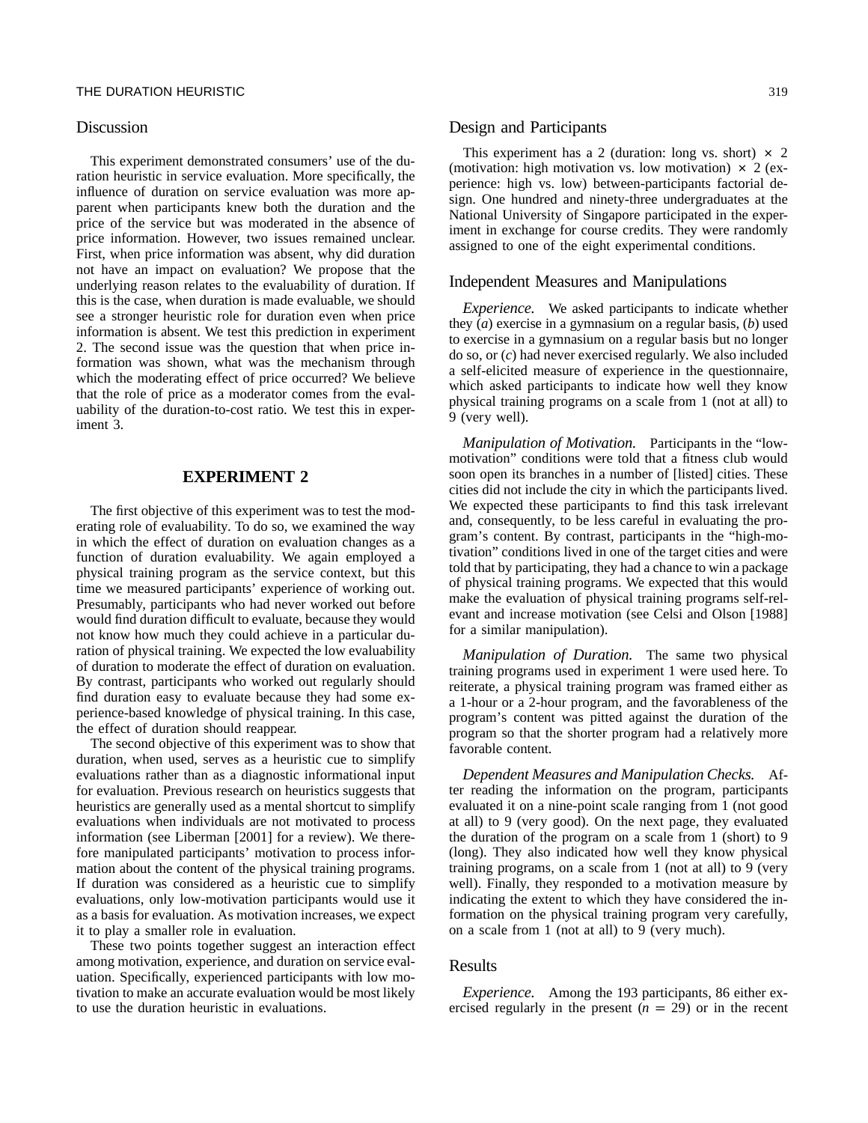#### THE DURATION HEURISTIC 319

# **Discussion**

This experiment demonstrated consumers' use of the duration heuristic in service evaluation. More specifically, the influence of duration on service evaluation was more apparent when participants knew both the duration and the price of the service but was moderated in the absence of price information. However, two issues remained unclear. First, when price information was absent, why did duration not have an impact on evaluation? We propose that the underlying reason relates to the evaluability of duration. If this is the case, when duration is made evaluable, we should see a stronger heuristic role for duration even when price information is absent. We test this prediction in experiment 2. The second issue was the question that when price information was shown, what was the mechanism through which the moderating effect of price occurred? We believe that the role of price as a moderator comes from the evaluability of the duration-to-cost ratio. We test this in experiment 3.

# **EXPERIMENT 2**

The first objective of this experiment was to test the moderating role of evaluability. To do so, we examined the way in which the effect of duration on evaluation changes as a function of duration evaluability. We again employed a physical training program as the service context, but this time we measured participants' experience of working out. Presumably, participants who had never worked out before would find duration difficult to evaluate, because they would not know how much they could achieve in a particular duration of physical training. We expected the low evaluability of duration to moderate the effect of duration on evaluation. By contrast, participants who worked out regularly should find duration easy to evaluate because they had some experience-based knowledge of physical training. In this case, the effect of duration should reappear.

The second objective of this experiment was to show that duration, when used, serves as a heuristic cue to simplify evaluations rather than as a diagnostic informational input for evaluation. Previous research on heuristics suggests that heuristics are generally used as a mental shortcut to simplify evaluations when individuals are not motivated to process information (see Liberman [2001] for a review). We therefore manipulated participants' motivation to process information about the content of the physical training programs. If duration was considered as a heuristic cue to simplify evaluations, only low-motivation participants would use it as a basis for evaluation. As motivation increases, we expect it to play a smaller role in evaluation.

These two points together suggest an interaction effect among motivation, experience, and duration on service evaluation. Specifically, experienced participants with low motivation to make an accurate evaluation would be most likely to use the duration heuristic in evaluations.

# Design and Participants

This experiment has a 2 (duration: long vs. short)  $\times$  2 (motivation: high motivation vs. low motivation)  $\times$  2 (experience: high vs. low) between-participants factorial design. One hundred and ninety-three undergraduates at the National University of Singapore participated in the experiment in exchange for course credits. They were randomly assigned to one of the eight experimental conditions.

### Independent Measures and Manipulations

*Experience.* We asked participants to indicate whether they (*a*) exercise in a gymnasium on a regular basis, (*b*) used to exercise in a gymnasium on a regular basis but no longer do so, or (*c*) had never exercised regularly. We also included a self-elicited measure of experience in the questionnaire, which asked participants to indicate how well they know physical training programs on a scale from 1 (not at all) to 9 (very well).

*Manipulation of Motivation.* Participants in the "lowmotivation" conditions were told that a fitness club would soon open its branches in a number of [listed] cities. These cities did not include the city in which the participants lived. We expected these participants to find this task irrelevant and, consequently, to be less careful in evaluating the program's content. By contrast, participants in the "high-motivation" conditions lived in one of the target cities and were told that by participating, they had a chance to win a package of physical training programs. We expected that this would make the evaluation of physical training programs self-relevant and increase motivation (see Celsi and Olson [1988] for a similar manipulation).

*Manipulation of Duration.* The same two physical training programs used in experiment 1 were used here. To reiterate, a physical training program was framed either as a 1-hour or a 2-hour program, and the favorableness of the program's content was pitted against the duration of the program so that the shorter program had a relatively more favorable content.

*Dependent Measures and Manipulation Checks.* After reading the information on the program, participants evaluated it on a nine-point scale ranging from 1 (not good at all) to 9 (very good). On the next page, they evaluated the duration of the program on a scale from 1 (short) to 9 (long). They also indicated how well they know physical training programs, on a scale from 1 (not at all) to 9 (very well). Finally, they responded to a motivation measure by indicating the extent to which they have considered the information on the physical training program very carefully, on a scale from 1 (not at all) to 9 (very much).

#### Results

*Experience.* Among the 193 participants, 86 either exercised regularly in the present  $(n = 29)$  or in the recent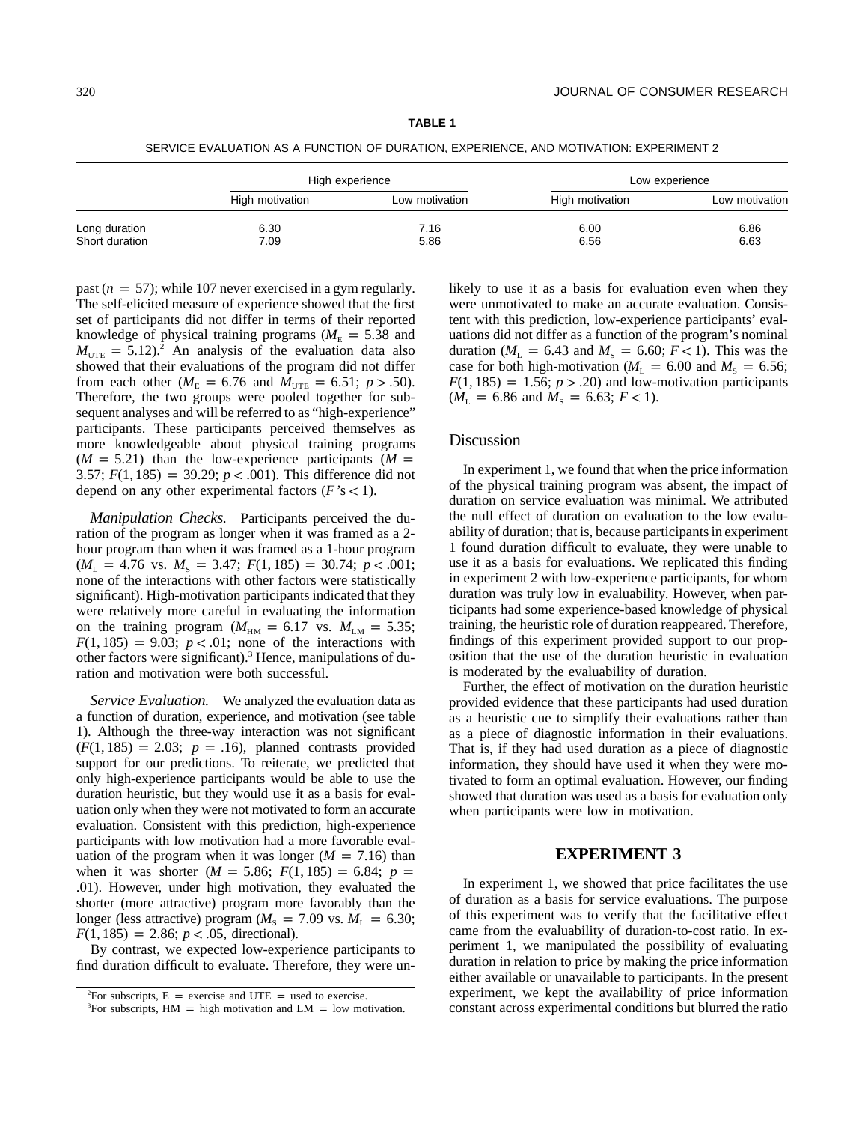| ABL'<br>I |  |
|-----------|--|
|-----------|--|

|                | High experience |                | Low experience  |                |
|----------------|-----------------|----------------|-----------------|----------------|
|                | High motivation | Low motivation | High motivation | Low motivation |
| Long duration  | 6.30            | 7.16           | 6.00            | 6.86           |
| Short duration | 7.09            | 5.86           | 6.56            | 6.63           |

past ( $n = 57$ ); while 107 never exercised in a gym regularly. The self-elicited measure of experience showed that the first set of participants did not differ in terms of their reported knowledge of physical training programs ( $M<sub>E</sub> = 5.38$  and  $M_{\text{UTE}} = 5.12$ .<sup>2</sup> An analysis of the evaluation data also showed that their evaluations of the program did not differ from each other ( $M_E = 6.76$  and  $M_{UTE} = 6.51$ ;  $p > .50$ ). Therefore, the two groups were pooled together for subsequent analyses and will be referred to as "high-experience" participants. These participants perceived themselves as more knowledgeable about physical training programs  $(M = 5.21)$  than the low-experience participants  $(M = 5.21)$ 3.57;  $F(1, 185) = 39.29$ ;  $p < .001$ ). This difference did not depend on any other experimental factors  $(F's < 1)$ .

*Manipulation Checks.* Participants perceived the duration of the program as longer when it was framed as a 2 hour program than when it was framed as a 1-hour program  $(M_L = 4.76 \text{ vs. } M_s = 3.47; F(1, 185) = 30.74; p < .001;$ none of the interactions with other factors were statistically significant). High-motivation participants indicated that they were relatively more careful in evaluating the information on the training program ( $M_{HM} = 6.17$  vs.  $M_{LM} = 5.35$ ;  $F(1, 185) = 9.03$ ;  $p < .01$ ; none of the interactions with other factors were significant).<sup>3</sup> Hence, manipulations of duration and motivation were both successful.

*Service Evaluation.* We analyzed the evaluation data as a function of duration, experience, and motivation (see table 1). Although the three-way interaction was not significant  $(F(1, 185) = 2.03; p = .16)$ , planned contrasts provided support for our predictions. To reiterate, we predicted that only high-experience participants would be able to use the duration heuristic, but they would use it as a basis for evaluation only when they were not motivated to form an accurate evaluation. Consistent with this prediction, high-experience participants with low motivation had a more favorable evaluation of the program when it was longer  $(M = 7.16)$  than when it was shorter  $(M = 5.86; F(1, 185) = 6.84; p =$ .01). However, under high motivation, they evaluated the shorter (more attractive) program more favorably than the longer (less attractive) program ( $M<sub>s</sub> = 7.09$  vs.  $M<sub>L</sub> = 6.30$ ;  $F(1, 185) = 2.86$ ;  $p < .05$ , directional).

By contrast, we expected low-experience participants to find duration difficult to evaluate. Therefore, they were unlikely to use it as a basis for evaluation even when they were unmotivated to make an accurate evaluation. Consistent with this prediction, low-experience participants' evaluations did not differ as a function of the program's nominal duration ( $M<sub>L</sub> = 6.43$  and  $M<sub>S</sub> = 6.60$ ;  $F < 1$ ). This was the case for both high-motivation ( $M<sub>L</sub> = 6.00$  and  $M<sub>S</sub> = 6.56$ ;  $F(1, 185) = 1.56$ ;  $p > .20$ ) and low-motivation participants  $(M<sub>L</sub> = 6.86$  and  $M<sub>S</sub> = 6.63$ ;  $F < 1$ ).

## Discussion

In experiment 1, we found that when the price information of the physical training program was absent, the impact of duration on service evaluation was minimal. We attributed the null effect of duration on evaluation to the low evaluability of duration; that is, because participants in experiment 1 found duration difficult to evaluate, they were unable to use it as a basis for evaluations. We replicated this finding in experiment 2 with low-experience participants, for whom duration was truly low in evaluability. However, when participants had some experience-based knowledge of physical training, the heuristic role of duration reappeared. Therefore, findings of this experiment provided support to our proposition that the use of the duration heuristic in evaluation is moderated by the evaluability of duration.

Further, the effect of motivation on the duration heuristic provided evidence that these participants had used duration as a heuristic cue to simplify their evaluations rather than as a piece of diagnostic information in their evaluations. That is, if they had used duration as a piece of diagnostic information, they should have used it when they were motivated to form an optimal evaluation. However, our finding showed that duration was used as a basis for evaluation only when participants were low in motivation.

#### **EXPERIMENT 3**

In experiment 1, we showed that price facilitates the use of duration as a basis for service evaluations. The purpose of this experiment was to verify that the facilitative effect came from the evaluability of duration-to-cost ratio. In experiment 1, we manipulated the possibility of evaluating duration in relation to price by making the price information either available or unavailable to participants. In the present experiment, we kept the availability of price information constant across experimental conditions but blurred the ratio

<sup>&</sup>lt;sup>2</sup>For subscripts,  $E =$  exercise and UTE = used to exercise.

<sup>&</sup>lt;sup>3</sup>For subscripts, HM = high motivation and LM = low motivation.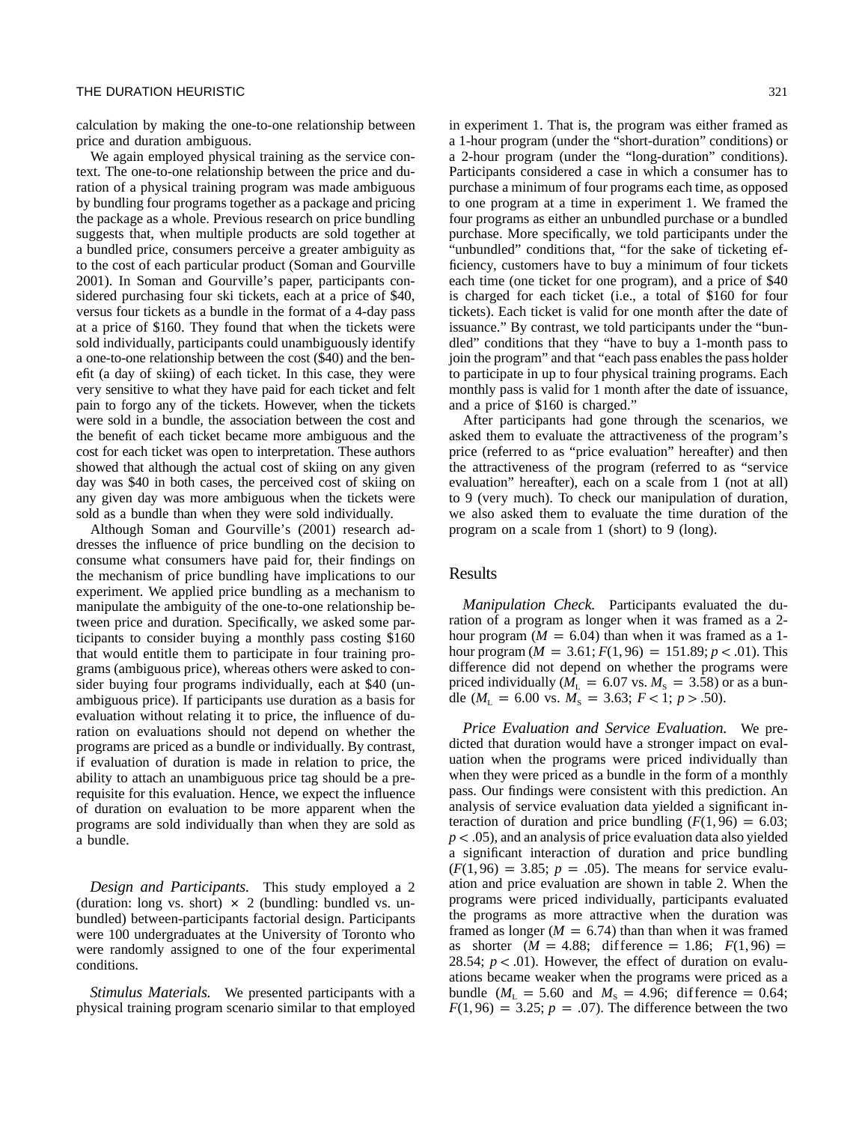calculation by making the one-to-one relationship between price and duration ambiguous.

We again employed physical training as the service context. The one-to-one relationship between the price and duration of a physical training program was made ambiguous by bundling four programs together as a package and pricing the package as a whole. Previous research on price bundling suggests that, when multiple products are sold together at a bundled price, consumers perceive a greater ambiguity as to the cost of each particular product (Soman and Gourville 2001). In Soman and Gourville's paper, participants considered purchasing four ski tickets, each at a price of \$40, versus four tickets as a bundle in the format of a 4-day pass at a price of \$160. They found that when the tickets were sold individually, participants could unambiguously identify a one-to-one relationship between the cost (\$40) and the benefit (a day of skiing) of each ticket. In this case, they were very sensitive to what they have paid for each ticket and felt pain to forgo any of the tickets. However, when the tickets were sold in a bundle, the association between the cost and the benefit of each ticket became more ambiguous and the cost for each ticket was open to interpretation. These authors showed that although the actual cost of skiing on any given day was \$40 in both cases, the perceived cost of skiing on any given day was more ambiguous when the tickets were sold as a bundle than when they were sold individually.

Although Soman and Gourville's (2001) research addresses the influence of price bundling on the decision to consume what consumers have paid for, their findings on the mechanism of price bundling have implications to our experiment. We applied price bundling as a mechanism to manipulate the ambiguity of the one-to-one relationship between price and duration. Specifically, we asked some participants to consider buying a monthly pass costing \$160 that would entitle them to participate in four training programs (ambiguous price), whereas others were asked to consider buying four programs individually, each at \$40 (unambiguous price). If participants use duration as a basis for evaluation without relating it to price, the influence of duration on evaluations should not depend on whether the programs are priced as a bundle or individually. By contrast, if evaluation of duration is made in relation to price, the ability to attach an unambiguous price tag should be a prerequisite for this evaluation. Hence, we expect the influence of duration on evaluation to be more apparent when the programs are sold individually than when they are sold as a bundle.

*Design and Participants.* This study employed a 2 (duration: long vs. short)  $\times$  2 (bundling: bundled vs. unbundled) between-participants factorial design. Participants were 100 undergraduates at the University of Toronto who were randomly assigned to one of the four experimental conditions.

*Stimulus Materials.* We presented participants with a physical training program scenario similar to that employed in experiment 1. That is, the program was either framed as a 1-hour program (under the "short-duration" conditions) or a 2-hour program (under the "long-duration" conditions). Participants considered a case in which a consumer has to purchase a minimum of four programs each time, as opposed to one program at a time in experiment 1. We framed the four programs as either an unbundled purchase or a bundled purchase. More specifically, we told participants under the "unbundled" conditions that, "for the sake of ticketing efficiency, customers have to buy a minimum of four tickets each time (one ticket for one program), and a price of \$40 is charged for each ticket (i.e., a total of \$160 for four tickets). Each ticket is valid for one month after the date of issuance." By contrast, we told participants under the "bundled" conditions that they "have to buy a 1-month pass to join the program" and that "each pass enables the pass holder to participate in up to four physical training programs. Each monthly pass is valid for 1 month after the date of issuance, and a price of \$160 is charged."

After participants had gone through the scenarios, we asked them to evaluate the attractiveness of the program's price (referred to as "price evaluation" hereafter) and then the attractiveness of the program (referred to as "service evaluation" hereafter), each on a scale from 1 (not at all) to 9 (very much). To check our manipulation of duration, we also asked them to evaluate the time duration of the program on a scale from 1 (short) to 9 (long).

# Results

*Manipulation Check.* Participants evaluated the duration of a program as longer when it was framed as a 2 hour program ( $M = 6.04$ ) than when it was framed as a 1hour program ( $M = 3.61$ ;  $F(1, 96) = 151.89$ ;  $p < .01$ ). This difference did not depend on whether the programs were priced individually ( $M_L = 6.07$  vs.  $M_s = 3.58$ ) or as a bundle ( $M_L = 6.00$  vs.  $M_S = 3.63$ ;  $F < 1$ ;  $p > .50$ ).

*Price Evaluation and Service Evaluation.* We predicted that duration would have a stronger impact on evaluation when the programs were priced individually than when they were priced as a bundle in the form of a monthly pass. Our findings were consistent with this prediction. An analysis of service evaluation data yielded a significant interaction of duration and price bundling  $(F(1, 96) = 6.03)$ ;  $p < .05$ ), and an analysis of price evaluation data also yielded a significant interaction of duration and price bundling  $(F(1, 96) = 3.85; p = .05)$ . The means for service evaluation and price evaluation are shown in table 2. When the programs were priced individually, participants evaluated the programs as more attractive when the duration was framed as longer ( $M = 6.74$ ) than than when it was framed as shorter  $(M = 4.88;$  difference  $= 1.86;$   $F(1, 96) =$ 28.54;  $p < .01$ ). However, the effect of duration on evaluations became weaker when the programs were priced as a bundle  $(M_L = 5.60$  and  $M_S = 4.96$ ; difference = 0.64;  $F(1, 96) = 3.25$ ;  $p = .07$ ). The difference between the two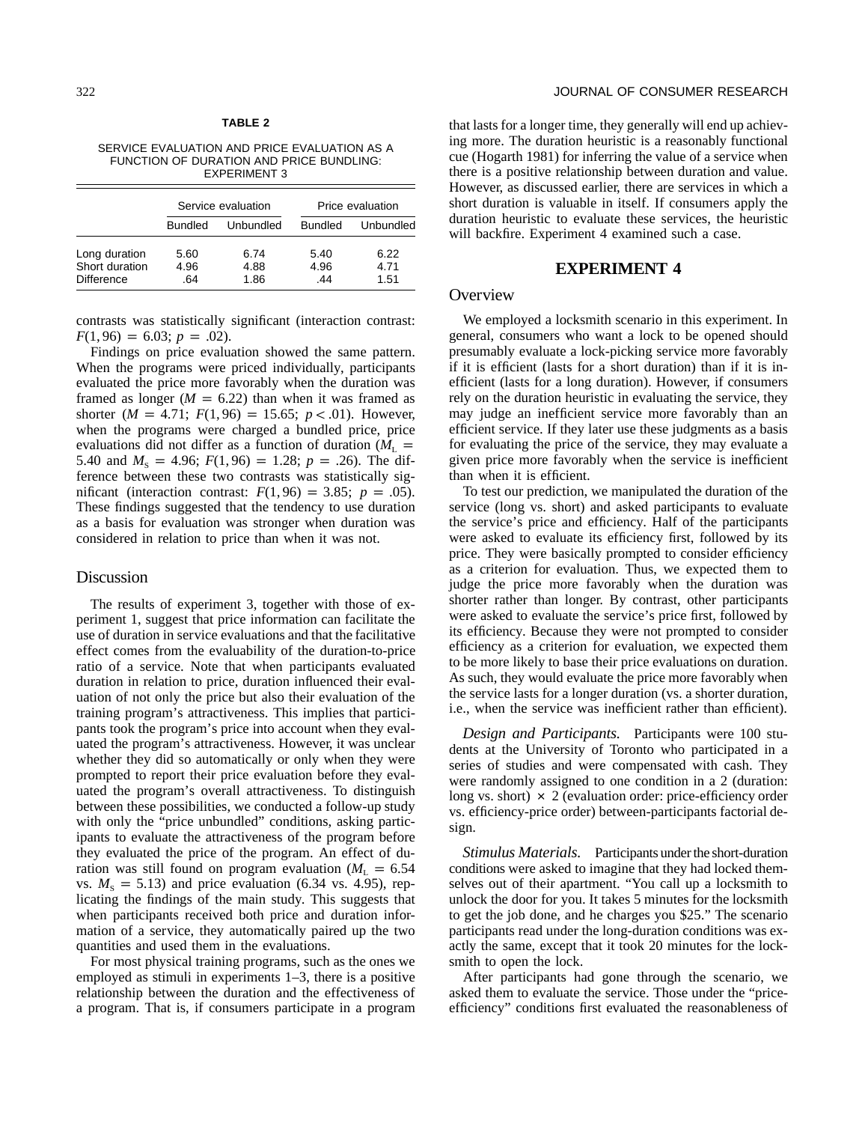#### **TABLE 2**

SERVICE EVALUATION AND PRICE EVALUATION AS A FUNCTION OF DURATION AND PRICE BUNDLING: EXPERIMENT 3

|                                                      | Service evaluation  |                      | Price evaluation   |                      |
|------------------------------------------------------|---------------------|----------------------|--------------------|----------------------|
|                                                      | <b>Bundled</b>      | Unbundled            | <b>Bundled</b>     | Unbundled            |
| Long duration<br>Short duration<br><b>Difference</b> | 5.60<br>4.96<br>.64 | 6.74<br>4.88<br>1.86 | 5.40<br>4.96<br>44 | 6.22<br>4.71<br>1.51 |

contrasts was statistically significant (interaction contrast:  $F(1, 96) = 6.03; p = .02$ .

Findings on price evaluation showed the same pattern. When the programs were priced individually, participants evaluated the price more favorably when the duration was framed as longer ( $M = 6.22$ ) than when it was framed as shorter ( $M = 4.71$ ;  $F(1, 96) = 15.65$ ;  $p < .01$ ). However, when the programs were charged a bundled price, price evaluations did not differ as a function of duration  $(M_L =$ 5.40 and  $M_s = 4.96$ ;  $F(1, 96) = 1.28$ ;  $p = .26$ ). The difference between these two contrasts was statistically significant (interaction contrast:  $F(1, 96) = 3.85$ ;  $p = .05$ ). These findings suggested that the tendency to use duration as a basis for evaluation was stronger when duration was considered in relation to price than when it was not.

# Discussion

The results of experiment 3, together with those of experiment 1, suggest that price information can facilitate the use of duration in service evaluations and that the facilitative effect comes from the evaluability of the duration-to-price ratio of a service. Note that when participants evaluated duration in relation to price, duration influenced their evaluation of not only the price but also their evaluation of the training program's attractiveness. This implies that participants took the program's price into account when they evaluated the program's attractiveness. However, it was unclear whether they did so automatically or only when they were prompted to report their price evaluation before they evaluated the program's overall attractiveness. To distinguish between these possibilities, we conducted a follow-up study with only the "price unbundled" conditions, asking participants to evaluate the attractiveness of the program before they evaluated the price of the program. An effect of duration was still found on program evaluation  $(M<sub>L</sub> = 6.54)$ vs.  $M<sub>s</sub> = 5.13$ ) and price evaluation (6.34 vs. 4.95), replicating the findings of the main study. This suggests that when participants received both price and duration information of a service, they automatically paired up the two quantities and used them in the evaluations.

For most physical training programs, such as the ones we employed as stimuli in experiments 1–3, there is a positive relationship between the duration and the effectiveness of a program. That is, if consumers participate in a program that lasts for a longer time, they generally will end up achieving more. The duration heuristic is a reasonably functional cue (Hogarth 1981) for inferring the value of a service when there is a positive relationship between duration and value. However, as discussed earlier, there are services in which a short duration is valuable in itself. If consumers apply the duration heuristic to evaluate these services, the heuristic will backfire. Experiment 4 examined such a case.

# **EXPERIMENT 4**

## **Overview**

We employed a locksmith scenario in this experiment. In general, consumers who want a lock to be opened should presumably evaluate a lock-picking service more favorably if it is efficient (lasts for a short duration) than if it is inefficient (lasts for a long duration). However, if consumers rely on the duration heuristic in evaluating the service, they may judge an inefficient service more favorably than an efficient service. If they later use these judgments as a basis for evaluating the price of the service, they may evaluate a given price more favorably when the service is inefficient than when it is efficient.

To test our prediction, we manipulated the duration of the service (long vs. short) and asked participants to evaluate the service's price and efficiency. Half of the participants were asked to evaluate its efficiency first, followed by its price. They were basically prompted to consider efficiency as a criterion for evaluation. Thus, we expected them to judge the price more favorably when the duration was shorter rather than longer. By contrast, other participants were asked to evaluate the service's price first, followed by its efficiency. Because they were not prompted to consider efficiency as a criterion for evaluation, we expected them to be more likely to base their price evaluations on duration. As such, they would evaluate the price more favorably when the service lasts for a longer duration (vs. a shorter duration, i.e., when the service was inefficient rather than efficient).

*Design and Participants.* Participants were 100 students at the University of Toronto who participated in a series of studies and were compensated with cash. They were randomly assigned to one condition in a 2 (duration: long vs. short)  $\times$  2 (evaluation order: price-efficiency order vs. efficiency-price order) between-participants factorial design.

*Stimulus Materials.* Participants under the short-duration conditions were asked to imagine that they had locked themselves out of their apartment. "You call up a locksmith to unlock the door for you. It takes 5 minutes for the locksmith to get the job done, and he charges you \$25." The scenario participants read under the long-duration conditions was exactly the same, except that it took 20 minutes for the locksmith to open the lock.

After participants had gone through the scenario, we asked them to evaluate the service. Those under the "priceefficiency" conditions first evaluated the reasonableness of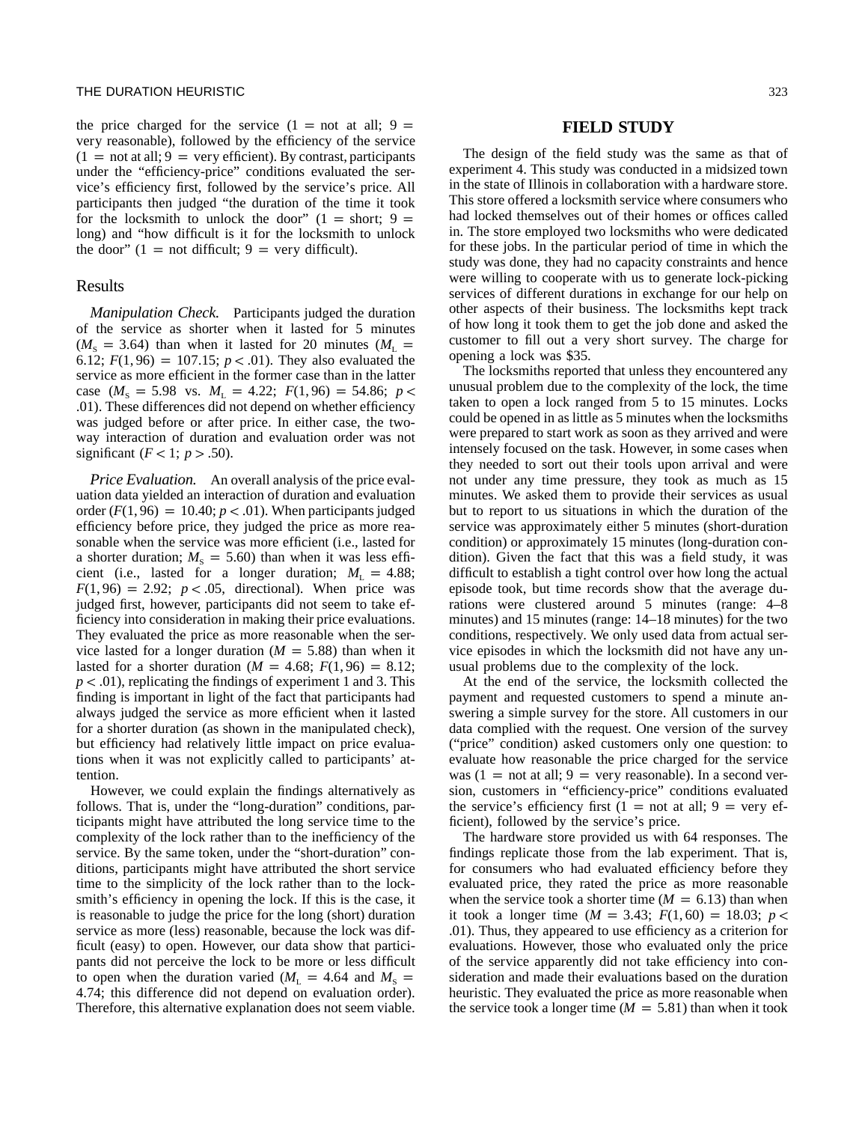the price charged for the service  $(1 = not at all; 9 =$ very reasonable), followed by the efficiency of the service  $(1 = \text{not at all}; 9 = \text{very efficient})$ . By contrast, participants under the "efficiency-price" conditions evaluated the service's efficiency first, followed by the service's price. All participants then judged "the duration of the time it took for the locksmith to unlock the door"  $(1 = short; 9 =$ long) and "how difficult is it for the locksmith to unlock the door"  $(1 = not difficult; 9 = very difficult).$ 

## Results

*Manipulation Check.* Participants judged the duration of the service as shorter when it lasted for 5 minutes  $(M<sub>s</sub> = 3.64)$  than when it lasted for 20 minutes  $(M<sub>L</sub> =$ 6.12;  $F(1, 96) = 107.15$ ;  $p < .01$ ). They also evaluated the service as more efficient in the former case than in the latter case  $(M_s = 5.98$  vs.  $M_t = 4.22$ ;  $F(1, 96) = 54.86$ ;  $p <$ .01). These differences did not depend on whether efficiency was judged before or after price. In either case, the twoway interaction of duration and evaluation order was not significant  $(F < 1; p > .50)$ .

*Price Evaluation.* An overall analysis of the price evaluation data yielded an interaction of duration and evaluation order  $(F(1, 96) = 10.40; p < .01)$ . When participants judged efficiency before price, they judged the price as more reasonable when the service was more efficient (i.e., lasted for a shorter duration;  $M<sub>s</sub> = 5.60$ ) than when it was less efficient (i.e., lasted for a longer duration;  $M<sub>L</sub> = 4.88$ ;  $F(1, 96) = 2.92$ ;  $p < .05$ , directional). When price was judged first, however, participants did not seem to take efficiency into consideration in making their price evaluations. They evaluated the price as more reasonable when the service lasted for a longer duration ( $M = 5.88$ ) than when it lasted for a shorter duration  $(M = 4.68; F(1, 96) = 8.12;$  $p < .01$ ), replicating the findings of experiment 1 and 3. This finding is important in light of the fact that participants had always judged the service as more efficient when it lasted for a shorter duration (as shown in the manipulated check), but efficiency had relatively little impact on price evaluations when it was not explicitly called to participants' attention.

However, we could explain the findings alternatively as follows. That is, under the "long-duration" conditions, participants might have attributed the long service time to the complexity of the lock rather than to the inefficiency of the service. By the same token, under the "short-duration" conditions, participants might have attributed the short service time to the simplicity of the lock rather than to the locksmith's efficiency in opening the lock. If this is the case, it is reasonable to judge the price for the long (short) duration service as more (less) reasonable, because the lock was difficult (easy) to open. However, our data show that participants did not perceive the lock to be more or less difficult to open when the duration varied ( $M<sub>L</sub> = 4.64$  and  $M<sub>S</sub> =$ 4.74; this difference did not depend on evaluation order). Therefore, this alternative explanation does not seem viable.

# **FIELD STUDY**

The design of the field study was the same as that of experiment 4. This study was conducted in a midsized town in the state of Illinois in collaboration with a hardware store. This store offered a locksmith service where consumers who had locked themselves out of their homes or offices called in. The store employed two locksmiths who were dedicated for these jobs. In the particular period of time in which the study was done, they had no capacity constraints and hence were willing to cooperate with us to generate lock-picking services of different durations in exchange for our help on other aspects of their business. The locksmiths kept track of how long it took them to get the job done and asked the customer to fill out a very short survey. The charge for opening a lock was \$35.

The locksmiths reported that unless they encountered any unusual problem due to the complexity of the lock, the time taken to open a lock ranged from 5 to 15 minutes. Locks could be opened in as little as 5 minutes when the locksmiths were prepared to start work as soon as they arrived and were intensely focused on the task. However, in some cases when they needed to sort out their tools upon arrival and were not under any time pressure, they took as much as 15 minutes. We asked them to provide their services as usual but to report to us situations in which the duration of the service was approximately either 5 minutes (short-duration condition) or approximately 15 minutes (long-duration condition). Given the fact that this was a field study, it was difficult to establish a tight control over how long the actual episode took, but time records show that the average durations were clustered around 5 minutes (range: 4–8 minutes) and 15 minutes (range: 14–18 minutes) for the two conditions, respectively. We only used data from actual service episodes in which the locksmith did not have any unusual problems due to the complexity of the lock.

At the end of the service, the locksmith collected the payment and requested customers to spend a minute answering a simple survey for the store. All customers in our data complied with the request. One version of the survey ("price" condition) asked customers only one question: to evaluate how reasonable the price charged for the service was (1 = not at all; 9 = very reasonable). In a second version, customers in "efficiency-price" conditions evaluated the service's efficiency first ( $1 =$  not at all;  $9 =$  very efficient), followed by the service's price.

The hardware store provided us with 64 responses. The findings replicate those from the lab experiment. That is, for consumers who had evaluated efficiency before they evaluated price, they rated the price as more reasonable when the service took a shorter time  $(M = 6.13)$  than when it took a longer time ( $M = 3.43$ ;  $F(1, 60) = 18.03$ ;  $p <$ .01). Thus, they appeared to use efficiency as a criterion for evaluations. However, those who evaluated only the price of the service apparently did not take efficiency into consideration and made their evaluations based on the duration heuristic. They evaluated the price as more reasonable when the service took a longer time ( $M = 5.81$ ) than when it took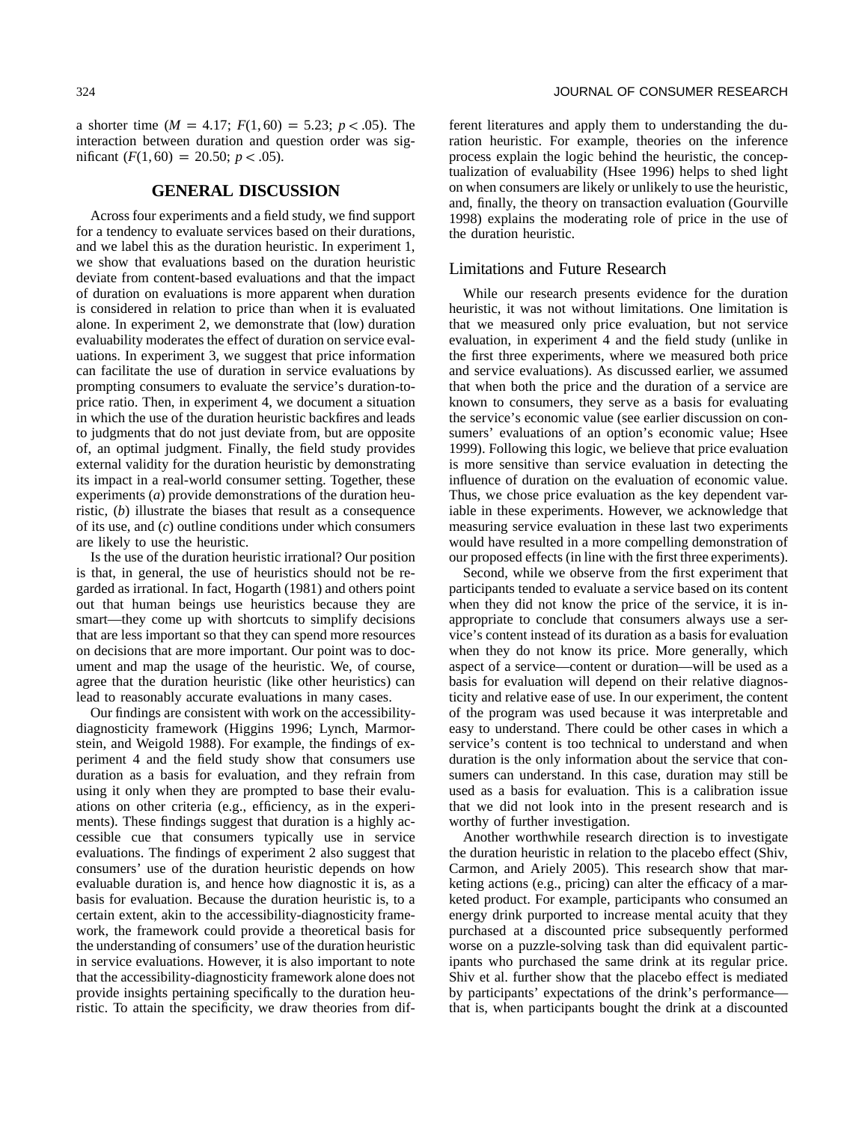a shorter time  $(M = 4.17; F(1, 60) = 5.23; p < .05)$ . The interaction between duration and question order was significant  $(F(1, 60) = 20.50; p < .05)$ .

# **GENERAL DISCUSSION**

Across four experiments and a field study, we find support for a tendency to evaluate services based on their durations, and we label this as the duration heuristic. In experiment 1, we show that evaluations based on the duration heuristic deviate from content-based evaluations and that the impact of duration on evaluations is more apparent when duration is considered in relation to price than when it is evaluated alone. In experiment 2, we demonstrate that (low) duration evaluability moderates the effect of duration on service evaluations. In experiment 3, we suggest that price information can facilitate the use of duration in service evaluations by prompting consumers to evaluate the service's duration-toprice ratio. Then, in experiment 4, we document a situation in which the use of the duration heuristic backfires and leads to judgments that do not just deviate from, but are opposite of, an optimal judgment. Finally, the field study provides external validity for the duration heuristic by demonstrating its impact in a real-world consumer setting. Together, these experiments (*a*) provide demonstrations of the duration heuristic, (*b*) illustrate the biases that result as a consequence of its use, and (*c*) outline conditions under which consumers are likely to use the heuristic.

Is the use of the duration heuristic irrational? Our position is that, in general, the use of heuristics should not be regarded as irrational. In fact, Hogarth (1981) and others point out that human beings use heuristics because they are smart—they come up with shortcuts to simplify decisions that are less important so that they can spend more resources on decisions that are more important. Our point was to document and map the usage of the heuristic. We, of course, agree that the duration heuristic (like other heuristics) can lead to reasonably accurate evaluations in many cases.

Our findings are consistent with work on the accessibilitydiagnosticity framework (Higgins 1996; Lynch, Marmorstein, and Weigold 1988). For example, the findings of experiment 4 and the field study show that consumers use duration as a basis for evaluation, and they refrain from using it only when they are prompted to base their evaluations on other criteria (e.g., efficiency, as in the experiments). These findings suggest that duration is a highly accessible cue that consumers typically use in service evaluations. The findings of experiment 2 also suggest that consumers' use of the duration heuristic depends on how evaluable duration is, and hence how diagnostic it is, as a basis for evaluation. Because the duration heuristic is, to a certain extent, akin to the accessibility-diagnosticity framework, the framework could provide a theoretical basis for the understanding of consumers' use of the duration heuristic in service evaluations. However, it is also important to note that the accessibility-diagnosticity framework alone does not provide insights pertaining specifically to the duration heuristic. To attain the specificity, we draw theories from different literatures and apply them to understanding the duration heuristic. For example, theories on the inference process explain the logic behind the heuristic, the conceptualization of evaluability (Hsee 1996) helps to shed light on when consumers are likely or unlikely to use the heuristic, and, finally, the theory on transaction evaluation (Gourville 1998) explains the moderating role of price in the use of the duration heuristic.

## Limitations and Future Research

While our research presents evidence for the duration heuristic, it was not without limitations. One limitation is that we measured only price evaluation, but not service evaluation, in experiment 4 and the field study (unlike in the first three experiments, where we measured both price and service evaluations). As discussed earlier, we assumed that when both the price and the duration of a service are known to consumers, they serve as a basis for evaluating the service's economic value (see earlier discussion on consumers' evaluations of an option's economic value; Hsee 1999). Following this logic, we believe that price evaluation is more sensitive than service evaluation in detecting the influence of duration on the evaluation of economic value. Thus, we chose price evaluation as the key dependent variable in these experiments. However, we acknowledge that measuring service evaluation in these last two experiments would have resulted in a more compelling demonstration of our proposed effects (in line with the first three experiments).

Second, while we observe from the first experiment that participants tended to evaluate a service based on its content when they did not know the price of the service, it is inappropriate to conclude that consumers always use a service's content instead of its duration as a basis for evaluation when they do not know its price. More generally, which aspect of a service—content or duration—will be used as a basis for evaluation will depend on their relative diagnosticity and relative ease of use. In our experiment, the content of the program was used because it was interpretable and easy to understand. There could be other cases in which a service's content is too technical to understand and when duration is the only information about the service that consumers can understand. In this case, duration may still be used as a basis for evaluation. This is a calibration issue that we did not look into in the present research and is worthy of further investigation.

Another worthwhile research direction is to investigate the duration heuristic in relation to the placebo effect (Shiv, Carmon, and Ariely 2005). This research show that marketing actions (e.g., pricing) can alter the efficacy of a marketed product. For example, participants who consumed an energy drink purported to increase mental acuity that they purchased at a discounted price subsequently performed worse on a puzzle-solving task than did equivalent participants who purchased the same drink at its regular price. Shiv et al. further show that the placebo effect is mediated by participants' expectations of the drink's performance that is, when participants bought the drink at a discounted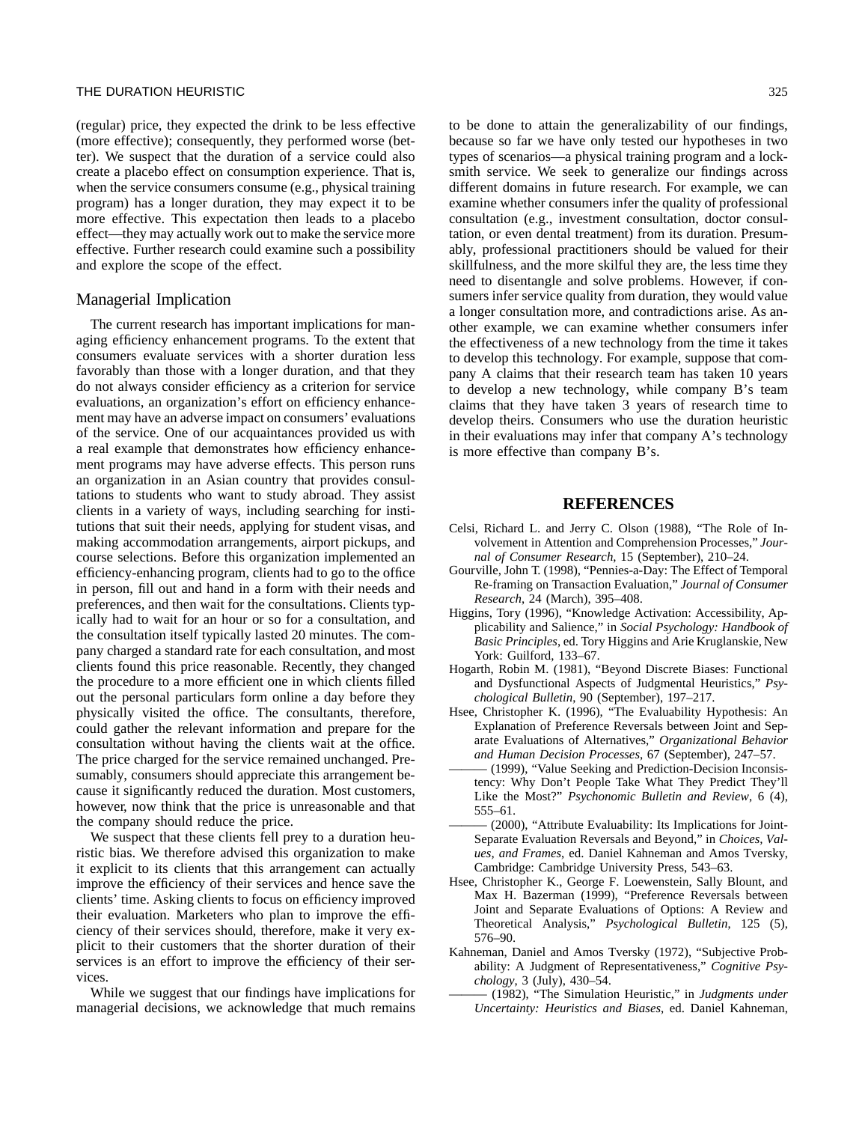#### THE DURATION HEURISTIC 325

(regular) price, they expected the drink to be less effective (more effective); consequently, they performed worse (better). We suspect that the duration of a service could also create a placebo effect on consumption experience. That is, when the service consumers consume (e.g., physical training program) has a longer duration, they may expect it to be more effective. This expectation then leads to a placebo effect—they may actually work out to make the service more effective. Further research could examine such a possibility and explore the scope of the effect.

## Managerial Implication

The current research has important implications for managing efficiency enhancement programs. To the extent that consumers evaluate services with a shorter duration less favorably than those with a longer duration, and that they do not always consider efficiency as a criterion for service evaluations, an organization's effort on efficiency enhancement may have an adverse impact on consumers' evaluations of the service. One of our acquaintances provided us with a real example that demonstrates how efficiency enhancement programs may have adverse effects. This person runs an organization in an Asian country that provides consultations to students who want to study abroad. They assist clients in a variety of ways, including searching for institutions that suit their needs, applying for student visas, and making accommodation arrangements, airport pickups, and course selections. Before this organization implemented an efficiency-enhancing program, clients had to go to the office in person, fill out and hand in a form with their needs and preferences, and then wait for the consultations. Clients typically had to wait for an hour or so for a consultation, and the consultation itself typically lasted 20 minutes. The company charged a standard rate for each consultation, and most clients found this price reasonable. Recently, they changed the procedure to a more efficient one in which clients filled out the personal particulars form online a day before they physically visited the office. The consultants, therefore, could gather the relevant information and prepare for the consultation without having the clients wait at the office. The price charged for the service remained unchanged. Presumably, consumers should appreciate this arrangement because it significantly reduced the duration. Most customers, however, now think that the price is unreasonable and that the company should reduce the price.

We suspect that these clients fell prey to a duration heuristic bias. We therefore advised this organization to make it explicit to its clients that this arrangement can actually improve the efficiency of their services and hence save the clients' time. Asking clients to focus on efficiency improved their evaluation. Marketers who plan to improve the efficiency of their services should, therefore, make it very explicit to their customers that the shorter duration of their services is an effort to improve the efficiency of their services.

While we suggest that our findings have implications for managerial decisions, we acknowledge that much remains to be done to attain the generalizability of our findings, because so far we have only tested our hypotheses in two types of scenarios—a physical training program and a locksmith service. We seek to generalize our findings across different domains in future research. For example, we can examine whether consumers infer the quality of professional consultation (e.g., investment consultation, doctor consultation, or even dental treatment) from its duration. Presumably, professional practitioners should be valued for their skillfulness, and the more skilful they are, the less time they need to disentangle and solve problems. However, if consumers infer service quality from duration, they would value a longer consultation more, and contradictions arise. As another example, we can examine whether consumers infer the effectiveness of a new technology from the time it takes to develop this technology. For example, suppose that company A claims that their research team has taken 10 years to develop a new technology, while company B's team claims that they have taken 3 years of research time to develop theirs. Consumers who use the duration heuristic in their evaluations may infer that company A's technology is more effective than company B's.

#### **REFERENCES**

- Celsi, Richard L. and Jerry C. Olson (1988), "The Role of Involvement in Attention and Comprehension Processes," *Journal of Consumer Research*, 15 (September), 210–24.
- Gourville, John T. (1998), "Pennies-a-Day: The Effect of Temporal Re-framing on Transaction Evaluation," *Journal of Consumer Research*, 24 (March), 395–408.
- Higgins, Tory (1996), "Knowledge Activation: Accessibility, Applicability and Salience," in *Social Psychology: Handbook of Basic Principles*, ed. Tory Higgins and Arie Kruglanskie, New York: Guilford, 133–67.
- Hogarth, Robin M. (1981), "Beyond Discrete Biases: Functional and Dysfunctional Aspects of Judgmental Heuristics," *Psychological Bulletin*, 90 (September), 197–217.
- Hsee, Christopher K. (1996), "The Evaluability Hypothesis: An Explanation of Preference Reversals between Joint and Separate Evaluations of Alternatives," *Organizational Behavior and Human Decision Processes*, 67 (September), 247–57.
- (1999), "Value Seeking and Prediction-Decision Inconsistency: Why Don't People Take What They Predict They'll Like the Most?" *Psychonomic Bulletin and Review*, 6 (4), 555–61.
- (2000), "Attribute Evaluability: Its Implications for Joint-Separate Evaluation Reversals and Beyond," in *Choices, Values, and Frames*, ed. Daniel Kahneman and Amos Tversky, Cambridge: Cambridge University Press, 543–63.
- Hsee, Christopher K., George F. Loewenstein, Sally Blount, and Max H. Bazerman (1999), "Preference Reversals between Joint and Separate Evaluations of Options: A Review and Theoretical Analysis," *Psychological Bulletin*, 125 (5), 576–90.
- Kahneman, Daniel and Amos Tversky (1972), "Subjective Probability: A Judgment of Representativeness," *Cognitive Psychology*, 3 (July), 430–54.
- ——— (1982), "The Simulation Heuristic," in *Judgments under Uncertainty: Heuristics and Biases*, ed. Daniel Kahneman,